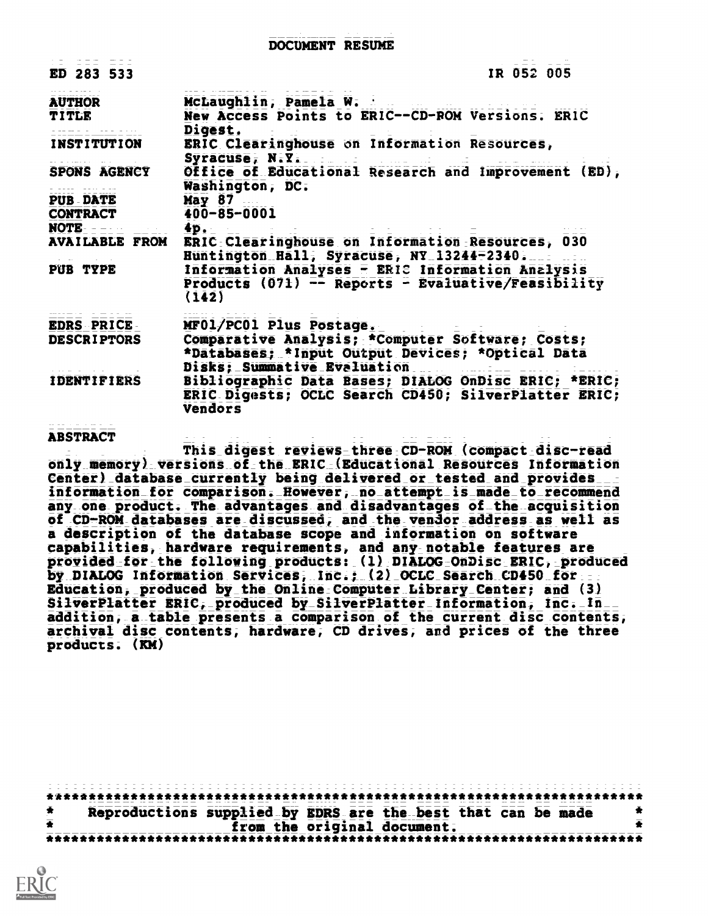| ED 283 533                                   | IR 052 005                                                                                    |  |  |
|----------------------------------------------|-----------------------------------------------------------------------------------------------|--|--|
| <b>AUTHOR</b>                                | McLaughlin, Pamela W.                                                                         |  |  |
| TITLE                                        | New Access Points to ERIC--CD-ROM Versions. ERIC<br>Digest.                                   |  |  |
| <b>INSTITUTION</b>                           | ERIC Clearinghouse on Information Resources,<br>Syracuse, N.Y.                                |  |  |
| <b>SPONS AGENCY</b><br>- ---- ---- ---       | Washington, DC.                                                                               |  |  |
| <b>PUB DATE</b>                              | May 87                                                                                        |  |  |
| <b>CONTRACT</b>                              | 400-85-0001                                                                                   |  |  |
| <b>NOTE</b> $=$ $=$ $=$ $=$ $\frac{4p}{2}$ . |                                                                                               |  |  |
| <b>AVAILABLE FROM</b>                        | ERIC Clearinghouse on Information Resources, 030<br>Huntington Hall; Syracuse, NY 13244-2340. |  |  |
| PUB TYPE                                     | Information Analyses - ERIC Information Analysis                                              |  |  |
|                                              | <b>Products (071) -- Reports - Evaluative/Feasibility</b><br>(142)                            |  |  |
| EDRS PRICE                                   | MF01/PC01 Plus Postage.                                                                       |  |  |
| <b>DESCRIPTORS</b>                           | Comparative Analysis; *Computer Software; Costs;                                              |  |  |
|                                              | *Databases; *Input Output Devices; *Optical Data<br>Disks: Summative Evaluation<br><u>.</u>   |  |  |
| <b>IDENTIFIERS</b>                           | Bibliographic Data Bases; DIALOG OnDisc ERIC; *ERIC;                                          |  |  |
|                                              | ERIC Digests; OCLC Search CD450; SilverPlatter ERIC;<br>Vendors                               |  |  |
|                                              |                                                                                               |  |  |

## ABSTRACT

This digest reviews three CD-ROM (compact disc-read only memory) versions of the ERIC (Educational Resources Information Center) database\_currentIy being delivered or\_tested and provides information for comparison. However, no attempt is made to\_recommend any one product. The advantages and disadvantages of the acquisition of CD-ROM databases are discussed, and the vendor address as well as a description of the database scope and information on software capabilities, hardware requirements, and any notable features are provided for the following products: (1) DIALOG OnDisc ERIC, produced by DIALOG Information Services, Inc.; (2) OCLC Search CD450 for Education, produced by the Online Computer Library Center; and (3) SilverPlatter ERIC, produced by SiIverPIatter Information, Inc. In addition, a table presents a comparison of the current disc contents, archival disc contents, hardware, CD drives, and prices of the three products. (KM)

\*\*\*\*\*\*\*\*\*\*\*\*\*\*\*\*\*\*\*\*\*\*\*\*\*\*\*\*\*\*\*\*\*\*\*\*\*\*\*\*\*\*\*\*\*\*\*\*\*\*\*\*\*\*\*\*\*\*\*\*\*\*\*\*\*\*\*\*\*\*\* \* Reproductions supplied by EDRS are the best that can be made<br> $\frac{1}{2}$ <br> $\frac{1}{2}$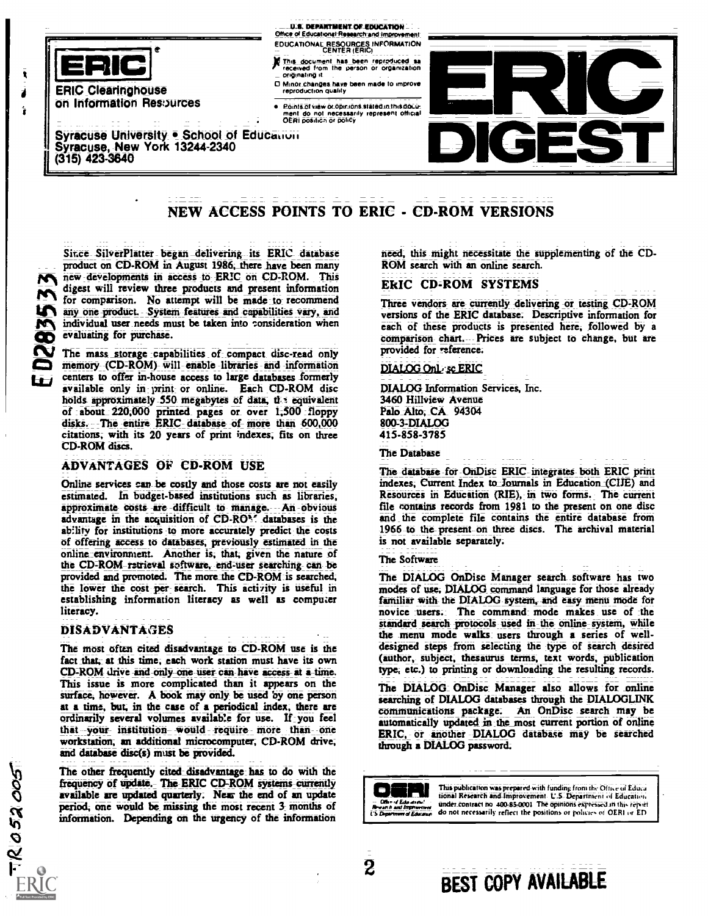

ERIC Clearinghouse On Information Resources

Syracuse University . School of Education Syracuse, New York 13244-2340<br>(315) 423-3640

#### U.S. DEPARTMENT OF EDUCATION Office of Educational-Research and Improven

- EDUCATIONAL RESOURCES INFORMATION CENTER (ERIC)
- This document has been reproduced as interesting the control of the person or organization. In the control of the control of the control of the control of the control of the control of the control of the control of the con originating it
- 0 Minor changes Nave been made to Improve reproduction quality
	- Points of view or opinions stated in this docu<del>.</del><br>ment do not necessarily represent official **company**<br>OERI position or policy



# NEW ACCESS POINTS TO ERIC - CD-ROM VERSIONS

Since SilverPlatter began-delivering its ERIC database product on CD-ROM in August 1986, there have been many pieN new developments in access to ERIC on CD-ROM. This digest will review three products and present information for comparison. No attempt will be made to recommend any one product. System features and capabilities vary, and individual user needs must be taken into consideration when evaluating for purchase.

The mass storage capabilities of compact disc-read only memory (CD-ROM)- will enable libraries and information centers to offer in-house access to large databases formerly available only in print or online. Each CD-ROM disc holds approximately 550 megabytes of data, the equivalent of about 220,000 printed pages or over 1,500 floppy disks. The entire ERIC database of more than 600,000 citations; with its 20 years of print indexes; fits on three CD-ROM discs.

## ADVANTAGES OF CD-ROM USE

Online services can be costly and those costs are not easily estimated. In budget-based institutions such as libraries, approximate costs are difficult to manage. An obvious advantage in the acquisition of  $CD \cdot RO$ <sup>8</sup>. databases is the ability for institutions to more accurately predict the costs of offering access to daubases, previously estimated in the online:environment. Another is; that; given the nature of the CD:ROM retrieval software, end-user searching can be provided and promoted. The more the CD-ROM is searched, the lower the cost per search. This activity is useful in establishing information literacy as well as compuzer literacy.

## DISADVANTAGES

 $7R052005$ 

The most often cited disadvantage to CD-ROM use is the fact that, at this time, each work station must have its own CD:ROM drive arid Only one user can have access at a- time. This issue is more complicated than it appears on the surface, however. A book may only be used by one person at a time, but; in the case of a periodical index, there are ordinarily several volumes available for use. If you feel that your institution would require more than one workstation; an additional microcomputer, CD-ROM drive; and database disc(s) must be provided.

The other frequently cited disadvantage has to do with the frequency of update.- The ERIC CD-ROM systems-currently available are updated quarterly. Near the end of an update period, one would be missing the most recent  $3$  months of period; one would be missing the most recent 3 months of information. Depending on the urgency of the information

need, this might necessitate the supplementing of the CD-ROM search with an online search.

### EkIC CD=ROM SYSTEMS

Three vendors are currently delivering or testing CD-ROM versions of the ERIC database; Descriptive information for each of these products is presented here, followed by a comparison chart. Prices are subject to change, but are provided for reference.

#### DIALOG Only se ERIC

DIALOG Information Services, Inc. 3460 Hillview Avenue Palo Alto, CA 94304 8003-DIALOG 415-858-3785

The Database

The database for OnDisc ERIC integrates both ERIC print indexes, Current Index to Journals in Education (CIJE) and Resources in Education (RIE),- in two forms. The current file contains records from 1981 to the present on one disc and the complete file contains the entire database from 1966 -to the-present-on three discs. The archival material is not available separately.

#### The Software

The DIALOG OnDisc Manager search software has two modes of use. DIALOG command language for those already familiar with the DIALOG system, and easy menu mode for novice users. The command mode makes use of the standard search protocols used in-the online system, while the menu mode walks users through a series of welldesigned steps from selecting the type of search desired (author, subject, thesaurus terms, text words, publication type; etc.) to printing or downloading the resulting records.

The DIALOG OnDisc Manager also allows for online searching of DIALOG databases through the DIALOGLINK communications package. An OnDisc search may be automatically updated in the most current portion of online ERIC, or another DIALOG database may be searched through a DIALOG password;

This publication was prepared with funding from the Office of Educa-**The Case of The Education and Improvement.** U.S. Department of Education.<br>Chan of Late area.<br>reported in the open was under contract no 400-85-000f. The opinions expressed in this report *d Ingressive Under contract no 400-85-0001* The opinions expressed in this report<br>*in d Education* do not necessarily reflect the positions or policies of OERI or ED

## 2<br>2 BEST COPY AVAILABLE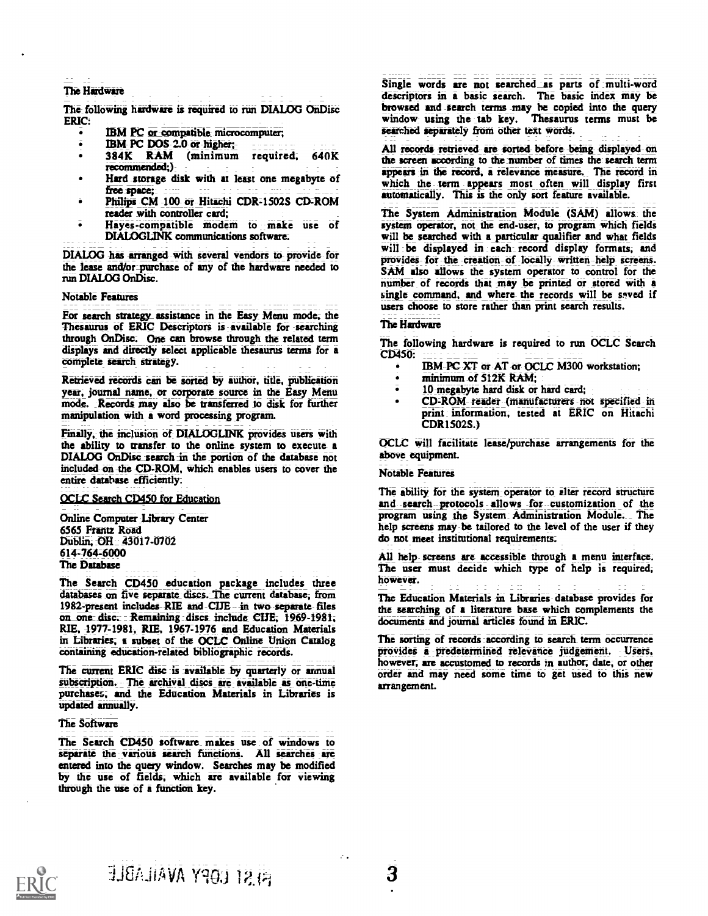## The Hard Wire

The following hardware is required to run DIALOG OnDisc ERIC:

- IBM PC or compatible microcomputer;  $\bullet$
- IBM PC DOS 2.0 or higher;
- $\bullet$ 384K RAM (minimum required, 640K recommended;)
- Hard storage disk with at least one megabyte of free space;
- Philips CM 100 or Hitachi CDR-1502S CD-ROM reader with controller card;
- Hayes-compatible modem to make use of DIALOGLINK communications toftware.

DIALOG has arranged with several vendors to provide for the lease and/or purchase of any of the hardware needed to run DIALCC OnDisc.

#### Notable Features

For search strategy assistance in the Easy Menu mode, the Thesaurus of ERIC Descriptors is available for searching through OnDisc. One can browse through the related term displays and directly select applicable thesaurus terms for a complete search strategy.

Retrieved records can be sorted by author, title, publication year, journal name, or corporate source in the Easy Menu mode. Records may also be transferred to disk for further manipulation with a word processing program.

Finally, the inclusion of DIALOGLINK provides users with the ability to transfer to the online system to execute a DIALOG OnDisc search in the portion of the database not included on the CD-ROM, which enables users to cover the entire database efficiently;

### OCLC Search CD450 for Education

Online Computer Library Center 6565 Frantz Road Dublin, OH 43017-0702 614=764=6000 The Database

The Search CD450 education package includes three databases on five separate discs. The current database, from 1982-present includes RIE and CIJE in two-separate-files on one disc.: Remaining discs include CIJE, 1969-1981; RIE, 4977=1981)- RIE, 1967=1976 and- Education Materials in Libraries; a subset of the OCLC Online Union Catalog containing education-related bibliographic records.

The current ERIC disc is available by quarterly or annual subscription. The archival discs are available as one-time purchases; and the Education Materials in Libraries is Updated annually.

#### The Software

The Search CD450 software makes use of windows to separate the various search functions. All searches are entered into the query window. Searches may be modified by the use of fields, which are available for viewing through the use of a function key.

Single words are not searched as parts of multi-word descriptors in a basic search. The basic index may be browsed and search terms may be copied into the query window using the tab key. Thesaurus terms must be searched separately from other text words.

All records retrieved are sorted-before-being displayed-on the screen according to the mumber of times the search term appears in the record, a relevance measure. The record in which the term appears most often will display first automatically. This is the only sort feature available.

The System Administration Module (SAM) allows the system operator, not the end-user, to program which fields will be searched with a particular qualifier and what fields will be displayed in each record display formats, and provides- for the -creation- of locally-written-help screens. SAM also allows the system operator to control for the number of records that may be printed or stored with a single command, and where the records will be saved if users choose to store rather than print search results.

## The Hardware

The following hardware is required to run OCLC Search CD450:

- IBM- PC XT or AT or OCLC M300 workstation;
- minimum of 512K RAM;
- 10-megabYte herd disk or hard card;
- CD-ROM- reader -(manufacturers -not specified in print information, tested at ERIC on Hitachi CDR1502S.)

OCLC will facilitate lease/purchase arrangements for the above equipment.

#### Notable Features

The ability for the system:operator to alter record structure and -search-protocols -allows -for--customization of the program using the System= Administration Module. The help screens may be tailored to the level of the user if they do not meet institutional requirements.

All help- screens are accessible through a menu interface. The user must decide which type of help is required, however.

The Education Materials in Libraries database provides for the searching of a literature base which complements the documents and journal articles found in ERIC.

The sorting of records according to search term occurrence provides a predetermined relevance judgement. Users, however, are accustomed to records in author, date, or other order and may need some time to get used to this new arrangement.



r.